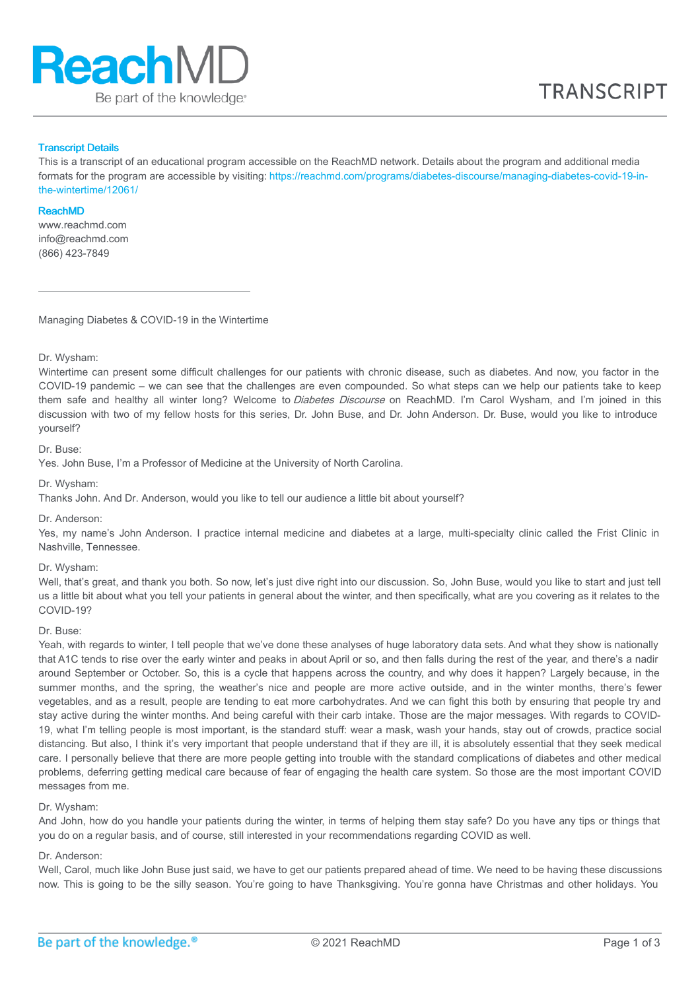

#### Transcript Details

This is a transcript of an educational program accessible on the ReachMD network. Details about the program and additional media formats for the program are accessible by visiting: [https://reachmd.com/programs/diabetes-discourse/managing-diabetes-covid-19-in](https://reachmd.com/programs/diabetes-discourse/managing-diabetes-covid-19-in-the-wintertime/12061/)the-wintertime/12061/

#### ReachMD

www.reachmd.com info@reachmd.com (866) 423-7849

Managing Diabetes & COVID-19 in the Wintertime

Dr. Wysham:

Wintertime can present some difficult challenges for our patients with chronic disease, such as diabetes. And now, you factor in the COVID-19 pandemic – we can see that the challenges are even compounded. So what steps can we help our patients take to keep them safe and healthy all winter long? Welcome to Diabetes Discourse on ReachMD. I'm Carol Wysham, and I'm joined in this discussion with two of my fellow hosts for this series, Dr. John Buse, and Dr. John Anderson. Dr. Buse, would you like to introduce yourself?

Dr. Buse:

Yes. John Buse, I'm a Professor of Medicine at the University of North Carolina.

Dr. Wysham:

Thanks John. And Dr. Anderson, would you like to tell our audience a little bit about yourself?

Dr. Anderson:

Yes, my name's John Anderson. I practice internal medicine and diabetes at a large, multi-specialty clinic called the Frist Clinic in Nashville, Tennessee.

## Dr. Wysham:

Well, that's great, and thank you both. So now, let's just dive right into our discussion. So, John Buse, would you like to start and just tell us a little bit about what you tell your patients in general about the winter, and then specifically, what are you covering as it relates to the COVID-19?

Dr. Buse:

Yeah, with regards to winter, I tell people that we've done these analyses of huge laboratory data sets. And what they show is nationally that A1C tends to rise over the early winter and peaks in about April or so, and then falls during the rest of the year, and there's a nadir around September or October. So, this is a cycle that happens across the country, and why does it happen? Largely because, in the summer months, and the spring, the weather's nice and people are more active outside, and in the winter months, there's fewer vegetables, and as a result, people are tending to eat more carbohydrates. And we can fight this both by ensuring that people try and stay active during the winter months. And being careful with their carb intake. Those are the major messages. With regards to COVID-19, what I'm telling people is most important, is the standard stuff: wear a mask, wash your hands, stay out of crowds, practice social distancing. But also, I think it's very important that people understand that if they are ill, it is absolutely essential that they seek medical care. I personally believe that there are more people getting into trouble with the standard complications of diabetes and other medical problems, deferring getting medical care because of fear of engaging the health care system. So those are the most important COVID messages from me.

## Dr. Wysham:

And John, how do you handle your patients during the winter, in terms of helping them stay safe? Do you have any tips or things that you do on a regular basis, and of course, still interested in your recommendations regarding COVID as well.

#### Dr. Anderson:

Well, Carol, much like John Buse just said, we have to get our patients prepared ahead of time. We need to be having these discussions now. This is going to be the silly season. You're going to have Thanksgiving. You're gonna have Christmas and other holidays. You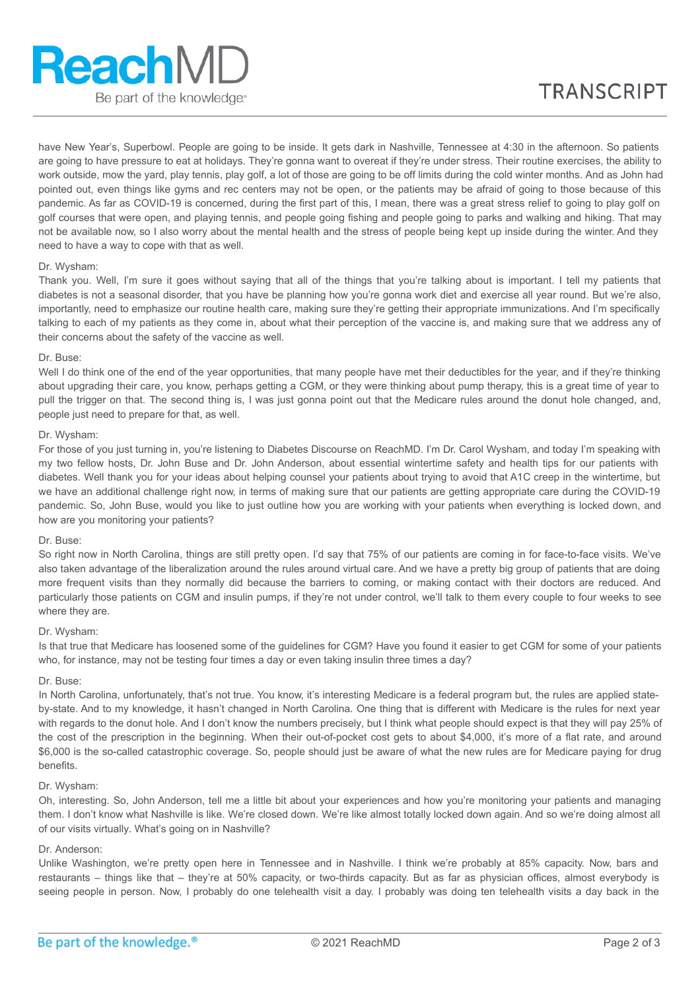have New Year's, Superbowl. People are going to be inside. It gets dark in Nashville, Tennessee at 4:30 in the afternoon. So patients are going to have pressure to eat at holidays. They're gonna want to overeat if they're under stress. Their routine exercises, the ability to work outside, mow the yard, play tennis, play golf, a lot of those are going to be off limits during the cold winter months. And as John had pointed out, even things like gyms and rec centers may not be open, or the patients may be afraid of going to those because of this pandemic. As far as COVID-19 is concerned, during the first part of this, I mean, there was a great stress relief to going to play golf on golf courses that were open, and playing tennis, and people going fishing and people going to parks and walking and hiking. That may not be available now, so I also worry about the mental health and the stress of people being kept up inside during the winter. And they need to have a way to cope with that as well.

### Dr. Wysham:

Thank you. Well, I'm sure it goes without saying that all of the things that you're talking about is important. I tell my patients that diabetes is not a seasonal disorder, that you have be planning how you're gonna work diet and exercise all year round. But we're also, importantly, need to emphasize our routine health care, making sure they're getting their appropriate immunizations. And I'm specifically talking to each of my patients as they come in, about what their perception of the vaccine is, and making sure that we address any of their concerns about the safety of the vaccine as well.

### Dr. Buse:

Well I do think one of the end of the year opportunities, that many people have met their deductibles for the year, and if they're thinking about upgrading their care, you know, perhaps getting a CGM, or they were thinking about pump therapy, this is a great time of year to pull the trigger on that. The second thing is, I was just gonna point out that the Medicare rules around the donut hole changed, and, people just need to prepare for that, as well.

### Dr. Wysham:

For those of you just turning in, you're listening to Diabetes Discourse on ReachMD. I'm Dr. Carol Wysham, and today I'm speaking with my two fellow hosts, Dr. John Buse and Dr. John Anderson, about essential wintertime safety and health tips for our patients with diabetes. Well thank you for your ideas about helping counsel your patients about trying to avoid that A1C creep in the wintertime, but we have an additional challenge right now, in terms of making sure that our patients are getting appropriate care during the COVID-19 pandemic. So, John Buse, would you like to just outline how you are working with your patients when everything is locked down, and how are you monitoring your patients?

# Dr. Buse:

So right now in North Carolina, things are still pretty open. I'd say that 75% of our patients are coming in for face-to-face visits. We've also taken advantage of the liberalization around the rules around virtual care. And we have a pretty big group of patients that are doing more frequent visits than they normally did because the barriers to coming, or making contact with their doctors are reduced. And particularly those patients on CGM and insulin pumps, if they're not under control, we'll talk to them every couple to four weeks to see where they are.

#### Dr. Wysham:

Is that true that Medicare has loosened some of the guidelines for CGM? Have you found it easier to get CGM for some of your patients who, for instance, may not be testing four times a day or even taking insulin three times a day?

### Dr. Buse:

In North Carolina, unfortunately, that's not true. You know, it's interesting Medicare is a federal program but, the rules are applied stateby-state. And to my knowledge, it hasn't changed in North Carolina. One thing that is different with Medicare is the rules for next year with regards to the donut hole. And I don't know the numbers precisely, but I think what people should expect is that they will pay 25% of the cost of the prescription in the beginning. When their out-of-pocket cost gets to about \$4,000, it's more of a flat rate, and around \$6,000 is the so-called catastrophic coverage. So, people should just be aware of what the new rules are for Medicare paying for drug benefits.

#### Dr. Wysham:

Oh, interesting. So, John Anderson, tell me a little bit about your experiences and how you're monitoring your patients and managing them. I don't know what Nashville is like. We're closed down. We're like almost totally locked down again. And so we're doing almost all of our visits virtually. What's going on in Nashville?

#### Dr. Anderson:

Unlike Washington, we're pretty open here in Tennessee and in Nashville. I think we're probably at 85% capacity. Now, bars and restaurants – things like that – they're at 50% capacity, or two-thirds capacity. But as far as physician offices, almost everybody is seeing people in person. Now, I probably do one telehealth visit a day. I probably was doing ten telehealth visits a day back in the